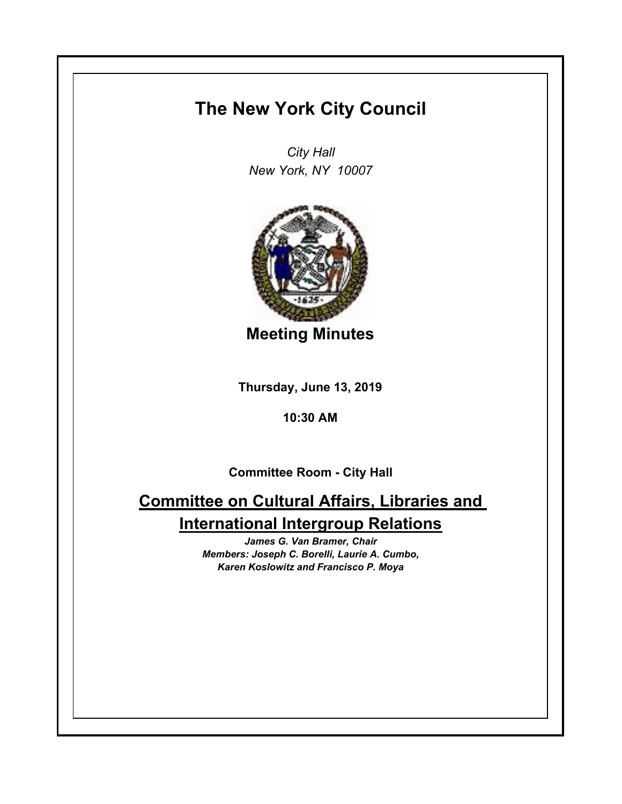## **The New York City Council**

*City Hall New York, NY 10007*



**Meeting Minutes**

**Thursday, June 13, 2019**

**10:30 AM**

**Committee Room - City Hall**

# **Committee on Cultural Affairs, Libraries and International Intergroup Relations**

*James G. Van Bramer, Chair Members: Joseph C. Borelli, Laurie A. Cumbo, Karen Koslowitz and Francisco P. Moya*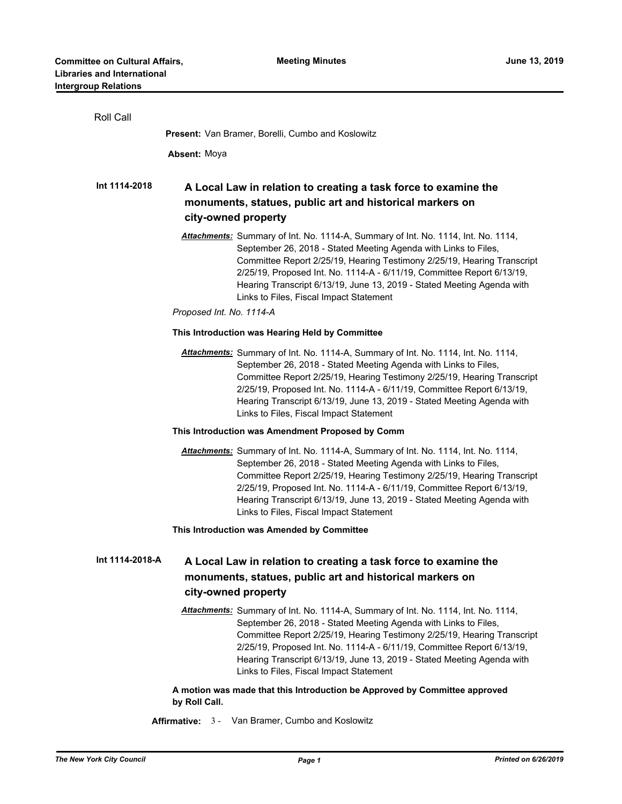| Roll Call                                                |                                                                                                                                                                                                                                                                                                                                                                                                                                                            |  |  |
|----------------------------------------------------------|------------------------------------------------------------------------------------------------------------------------------------------------------------------------------------------------------------------------------------------------------------------------------------------------------------------------------------------------------------------------------------------------------------------------------------------------------------|--|--|
| <b>Present:</b> Van Bramer, Borelli, Cumbo and Koslowitz |                                                                                                                                                                                                                                                                                                                                                                                                                                                            |  |  |
|                                                          | <b>Absent: Moya</b>                                                                                                                                                                                                                                                                                                                                                                                                                                        |  |  |
| Int 1114-2018                                            | A Local Law in relation to creating a task force to examine the<br>monuments, statues, public art and historical markers on<br>city-owned property                                                                                                                                                                                                                                                                                                         |  |  |
|                                                          | Attachments: Summary of Int. No. 1114-A, Summary of Int. No. 1114, Int. No. 1114,<br>September 26, 2018 - Stated Meeting Agenda with Links to Files,<br>Committee Report 2/25/19, Hearing Testimony 2/25/19, Hearing Transcript<br>2/25/19, Proposed Int. No. 1114-A - 6/11/19, Committee Report 6/13/19,<br>Hearing Transcript 6/13/19, June 13, 2019 - Stated Meeting Agenda with<br>Links to Files, Fiscal Impact Statement<br>Proposed Int. No. 1114-A |  |  |
|                                                          | This Introduction was Hearing Held by Committee                                                                                                                                                                                                                                                                                                                                                                                                            |  |  |
|                                                          | Attachments: Summary of Int. No. 1114-A, Summary of Int. No. 1114, Int. No. 1114,<br>September 26, 2018 - Stated Meeting Agenda with Links to Files,<br>Committee Report 2/25/19, Hearing Testimony 2/25/19, Hearing Transcript<br>2/25/19, Proposed Int. No. 1114-A - 6/11/19, Committee Report 6/13/19,<br>Hearing Transcript 6/13/19, June 13, 2019 - Stated Meeting Agenda with<br>Links to Files, Fiscal Impact Statement                             |  |  |
|                                                          | This Introduction was Amendment Proposed by Comm                                                                                                                                                                                                                                                                                                                                                                                                           |  |  |
|                                                          | Attachments: Summary of Int. No. 1114-A, Summary of Int. No. 1114, Int. No. 1114,<br>September 26, 2018 - Stated Meeting Agenda with Links to Files,<br>Committee Report 2/25/19, Hearing Testimony 2/25/19, Hearing Transcript<br>2/25/19, Proposed Int. No. 1114-A - 6/11/19, Committee Report 6/13/19,<br>Hearing Transcript 6/13/19, June 13, 2019 - Stated Meeting Agenda with<br>Links to Files, Fiscal Impact Statement                             |  |  |
|                                                          | This Introduction was Amended by Committee                                                                                                                                                                                                                                                                                                                                                                                                                 |  |  |
| Int 1114-2018-A                                          | A Local Law in relation to creating a task force to examine the<br>monuments, statues, public art and historical markers on<br>city-owned property                                                                                                                                                                                                                                                                                                         |  |  |
|                                                          | Attachments: Summary of Int. No. 1114-A, Summary of Int. No. 1114, Int. No. 1114,<br>September 26, 2018 - Stated Meeting Agenda with Links to Files,<br>Committee Report 2/25/19, Hearing Testimony 2/25/19, Hearing Transcript<br>2/25/19, Proposed Int. No. 1114-A - 6/11/19, Committee Report 6/13/19,<br>Hearing Transcript 6/13/19, June 13, 2019 - Stated Meeting Agenda with<br>Links to Files, Fiscal Impact Statement                             |  |  |
|                                                          | A motion was made that this Introduction be Approved by Committee approved<br>by Roll Call.                                                                                                                                                                                                                                                                                                                                                                |  |  |

**Affirmative:** 3 - Van Bramer, Cumbo and Koslowitz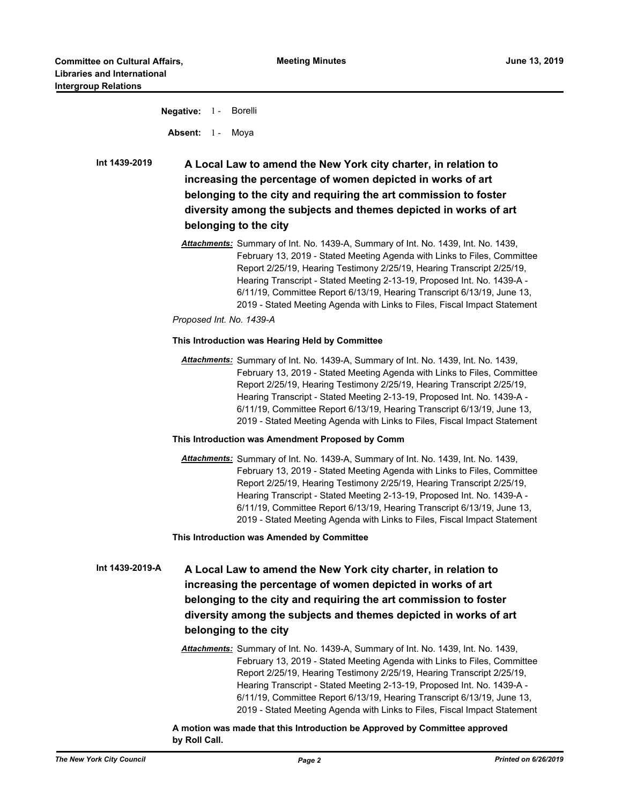**Negative:** 1 - Borelli Absent: 1 - Moya

**A Local Law to amend the New York city charter, in relation to increasing the percentage of women depicted in works of art belonging to the city and requiring the art commission to foster diversity among the subjects and themes depicted in works of art belonging to the city Int 1439-2019**

> *Attachments:* Summary of Int. No. 1439-A, Summary of Int. No. 1439, Int. No. 1439, February 13, 2019 - Stated Meeting Agenda with Links to Files, Committee Report 2/25/19, Hearing Testimony 2/25/19, Hearing Transcript 2/25/19, Hearing Transcript - Stated Meeting 2-13-19, Proposed Int. No. 1439-A - 6/11/19, Committee Report 6/13/19, Hearing Transcript 6/13/19, June 13, 2019 - Stated Meeting Agenda with Links to Files, Fiscal Impact Statement

*Proposed Int. No. 1439-A*

### **This Introduction was Hearing Held by Committee**

*Attachments:* Summary of Int. No. 1439-A, Summary of Int. No. 1439, Int. No. 1439, February 13, 2019 - Stated Meeting Agenda with Links to Files, Committee Report 2/25/19, Hearing Testimony 2/25/19, Hearing Transcript 2/25/19, Hearing Transcript - Stated Meeting 2-13-19, Proposed Int. No. 1439-A - 6/11/19, Committee Report 6/13/19, Hearing Transcript 6/13/19, June 13, 2019 - Stated Meeting Agenda with Links to Files, Fiscal Impact Statement

### **This Introduction was Amendment Proposed by Comm**

*Attachments:* Summary of Int. No. 1439-A, Summary of Int. No. 1439, Int. No. 1439, February 13, 2019 - Stated Meeting Agenda with Links to Files, Committee Report 2/25/19, Hearing Testimony 2/25/19, Hearing Transcript 2/25/19, Hearing Transcript - Stated Meeting 2-13-19, Proposed Int. No. 1439-A - 6/11/19, Committee Report 6/13/19, Hearing Transcript 6/13/19, June 13, 2019 - Stated Meeting Agenda with Links to Files, Fiscal Impact Statement

### **This Introduction was Amended by Committee**

**A Local Law to amend the New York city charter, in relation to increasing the percentage of women depicted in works of art belonging to the city and requiring the art commission to foster diversity among the subjects and themes depicted in works of art belonging to the city Int 1439-2019-A**

> *Attachments:* Summary of Int. No. 1439-A, Summary of Int. No. 1439, Int. No. 1439, February 13, 2019 - Stated Meeting Agenda with Links to Files, Committee Report 2/25/19, Hearing Testimony 2/25/19, Hearing Transcript 2/25/19, Hearing Transcript - Stated Meeting 2-13-19, Proposed Int. No. 1439-A - 6/11/19, Committee Report 6/13/19, Hearing Transcript 6/13/19, June 13, 2019 - Stated Meeting Agenda with Links to Files, Fiscal Impact Statement

**A motion was made that this Introduction be Approved by Committee approved by Roll Call.**